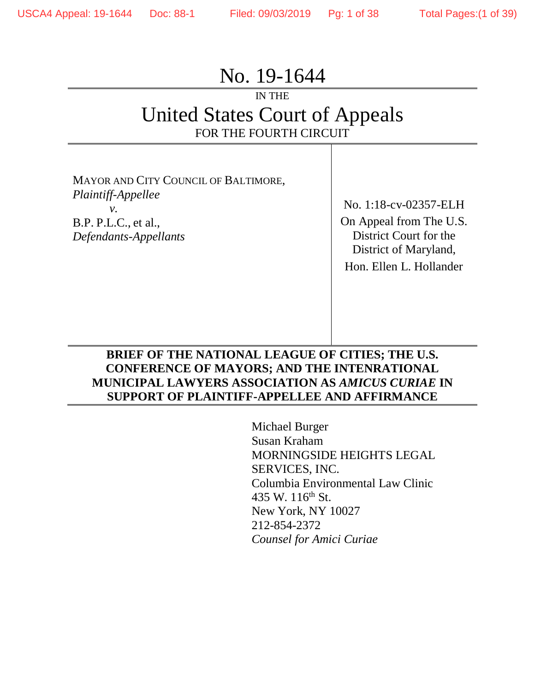# No. 19-1644

## IN THE United States Court of Appeals FOR THE FOURTH CIRCUIT

MAYOR AND CITY COUNCIL OF BALTIMORE, *Plaintiff-Appellee v.*  B.P. P.L.C., et al., *Defendants-Appellants*

No. 1:18-cv-02357-ELH On Appeal from The U.S. District Court for the District of Maryland, Hon. Ellen L. Hollander

#### **BRIEF OF THE NATIONAL LEAGUE OF CITIES; THE U.S. CONFERENCE OF MAYORS; AND THE INTENRATIONAL MUNICIPAL LAWYERS ASSOCIATION AS** *AMICUS CURIAE* **IN SUPPORT OF PLAINTIFF-APPELLEE AND AFFIRMANCE**

Michael Burger Susan Kraham MORNINGSIDE HEIGHTS LEGAL SERVICES, INC. Columbia Environmental Law Clinic 435 W.  $116^{th}$  St. New York, NY 10027 212-854-2372 *Counsel for Amici Curiae*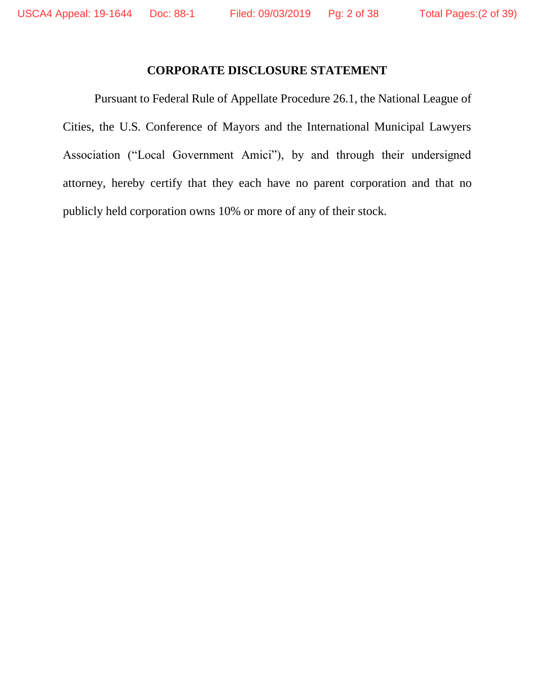#### **CORPORATE DISCLOSURE STATEMENT**

Pursuant to Federal Rule of Appellate Procedure 26.1, the National League of Cities, the U.S. Conference of Mayors and the International Municipal Lawyers Association ("Local Government Amici"), by and through their undersigned attorney, hereby certify that they each have no parent corporation and that no publicly held corporation owns 10% or more of any of their stock.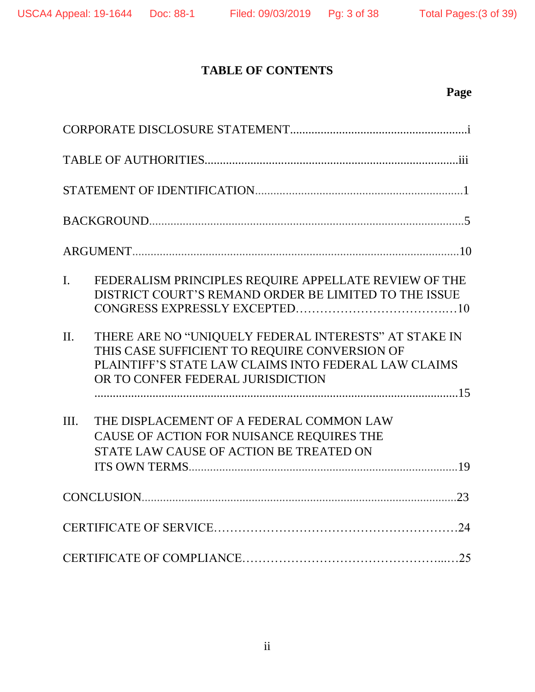## **TABLE OF CONTENTS**

## **Page**

| FEDERALISM PRINCIPLES REQUIRE APPELLATE REVIEW OF THE<br>$\mathbf{I}$ .<br>DISTRICT COURT'S REMAND ORDER BE LIMITED TO THE ISSUE                                                                               |  |
|----------------------------------------------------------------------------------------------------------------------------------------------------------------------------------------------------------------|--|
| THERE ARE NO "UNIQUELY FEDERAL INTERESTS" AT STAKE IN<br>$\Pi$ .<br>THIS CASE SUFFICIENT TO REQUIRE CONVERSION OF<br>PLAINTIFF'S STATE LAW CLAIMS INTO FEDERAL LAW CLAIMS<br>OR TO CONFER FEDERAL JURISDICTION |  |
| III.<br>THE DISPLACEMENT OF A FEDERAL COMMON LAW<br>CAUSE OF ACTION FOR NUISANCE REQUIRES THE<br>STATE LAW CAUSE OF ACTION BE TREATED ON                                                                       |  |
|                                                                                                                                                                                                                |  |
|                                                                                                                                                                                                                |  |
|                                                                                                                                                                                                                |  |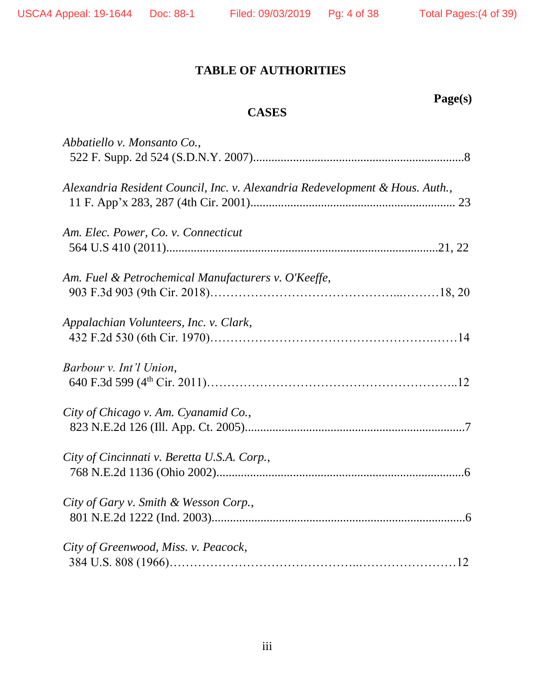## **Page(s)**

### **CASES**

| Abbatiello v. Monsanto Co.,                                                  |
|------------------------------------------------------------------------------|
| Alexandria Resident Council, Inc. v. Alexandria Redevelopment & Hous. Auth., |
| Am. Elec. Power, Co. v. Connecticut                                          |
| Am. Fuel & Petrochemical Manufacturers v. O'Keeffe,                          |
| Appalachian Volunteers, Inc. v. Clark,                                       |
| Barbour v. Int'l Union,                                                      |
| City of Chicago v. Am. Cyanamid Co.,                                         |
| City of Cincinnati v. Beretta U.S.A. Corp.,                                  |
| City of Gary v. Smith & Wesson Corp.,                                        |
| City of Greenwood, Miss. v. Peacock,                                         |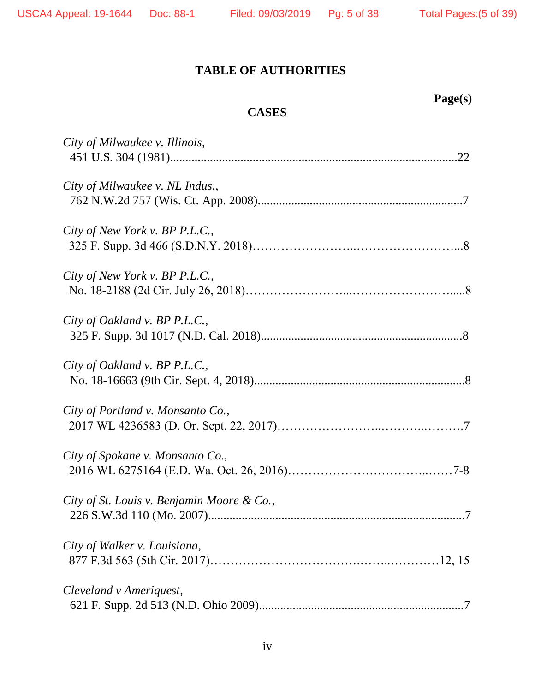**Page(s)**

### **TABLE OF AUTHORITIES**

| <b>CASES</b>                               |
|--------------------------------------------|
| City of Milwaukee v. Illinois,             |
| City of Milwaukee v. NL Indus.,            |
| City of New York v. BP P.L.C.,             |
| City of New York v. BP P.L.C.,             |
| City of Oakland v. BP P.L.C.,              |
| City of Oakland v. BP P.L.C.,              |
| City of Portland v. Monsanto Co.,          |
| City of Spokane v. Monsanto Co.,           |
| City of St. Louis v. Benjamin Moore & Co., |
| City of Walker v. Louisiana,               |
| Cleveland v Ameriquest,                    |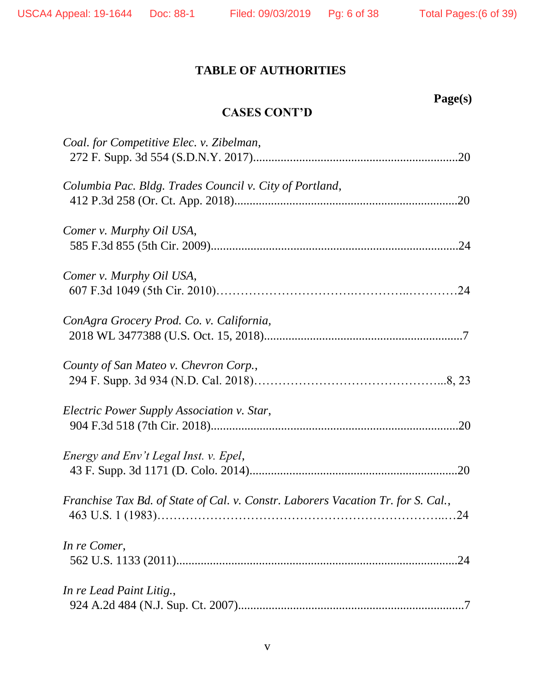| ூப |  |
|----|--|
|    |  |

### **CASES CONT'D**

| Coal. for Competitive Elec. v. Zibelman,                                         |
|----------------------------------------------------------------------------------|
| Columbia Pac. Bldg. Trades Council v. City of Portland,                          |
| Comer v. Murphy Oil USA,                                                         |
| Comer v. Murphy Oil USA,                                                         |
| ConAgra Grocery Prod. Co. v. California,                                         |
| County of San Mateo v. Chevron Corp.,                                            |
| Electric Power Supply Association v. Star,                                       |
| Energy and Env't Legal Inst. v. Epel,                                            |
| Franchise Tax Bd. of State of Cal. v. Constr. Laborers Vacation Tr. for S. Cal., |
| In re Comer,<br>.24                                                              |
| In re Lead Paint Litig.,                                                         |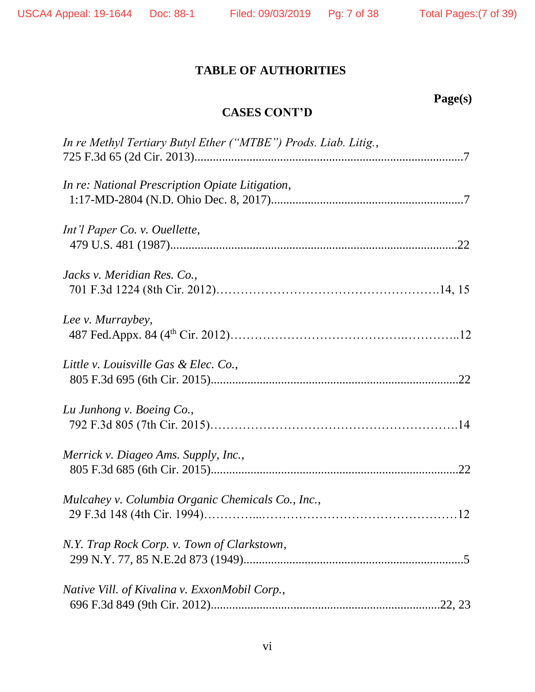### **Page(s)**

### **CASES CONT'D**

| In re Methyl Tertiary Butyl Ether ("MTBE") Prods. Liab. Litig., |
|-----------------------------------------------------------------|
| In re: National Prescription Opiate Litigation,                 |
| Int'l Paper Co. v. Ouellette,                                   |
| Jacks v. Meridian Res. Co.,                                     |
| Lee v. Murraybey,                                               |
| Little v. Louisville Gas & Elec. Co.,                           |
| Lu Junhong v. Boeing Co.,                                       |
| Merrick v. Diageo Ams. Supply, Inc.,                            |
| Mulcahey v. Columbia Organic Chemicals Co., Inc.,               |
| N.Y. Trap Rock Corp. v. Town of Clarkstown,                     |
| Native Vill. of Kivalina v. ExxonMobil Corp.,                   |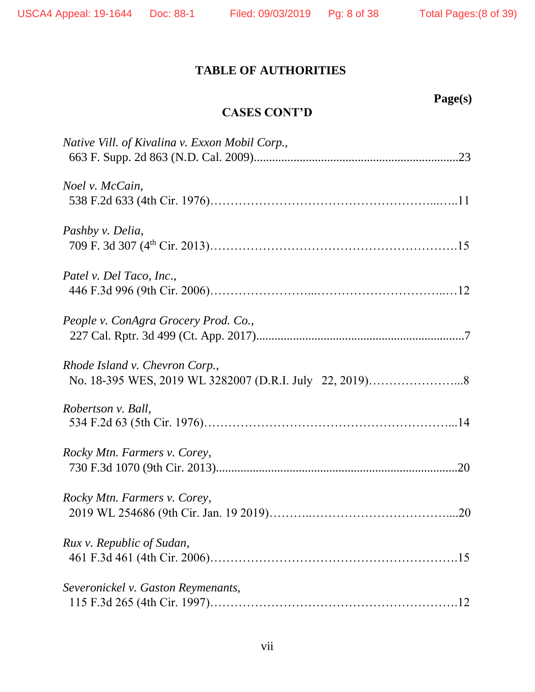|  | ۱ı.<br>11 Д |  |
|--|-------------|--|
|  |             |  |

### **CASES CONT'D**

| Native Vill. of Kivalina v. Exxon Mobil Corp., |
|------------------------------------------------|
| Noel v. McCain,                                |
| Pashby v. Delia,                               |
| Patel v. Del Taco, Inc.,                       |
| People v. ConAgra Grocery Prod. Co.,           |
| Rhode Island v. Chevron Corp.,                 |
| Robertson v. Ball,                             |
| Rocky Mtn. Farmers v. Corey,                   |
| Rocky Mtn. Farmers v. Corey,                   |
| Rux v. Republic of Sudan,                      |
| Severonickel v. Gaston Reymenants,             |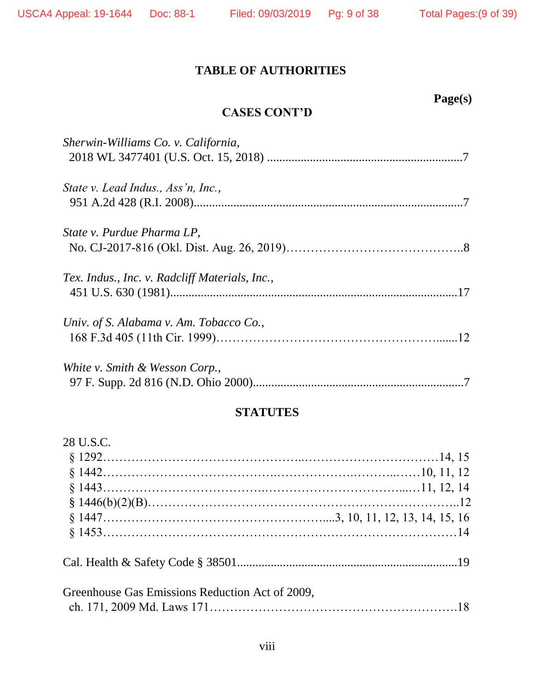### **CASES CONT'D**

| Sherwin-Williams Co. v. California,            |  |
|------------------------------------------------|--|
| State v. Lead Indus., Ass'n, Inc.,             |  |
| State v. Purdue Pharma LP,                     |  |
| Tex. Indus., Inc. v. Radcliff Materials, Inc., |  |
| Univ. of S. Alabama v. Am. Tobacco Co.,        |  |
| White v. Smith & Wesson Corp.,                 |  |

#### **STATUTES**

| 28 U.S.C.                                       |  |
|-------------------------------------------------|--|
|                                                 |  |
|                                                 |  |
|                                                 |  |
|                                                 |  |
|                                                 |  |
|                                                 |  |
|                                                 |  |
| Greenhouse Gas Emissions Reduction Act of 2009, |  |
|                                                 |  |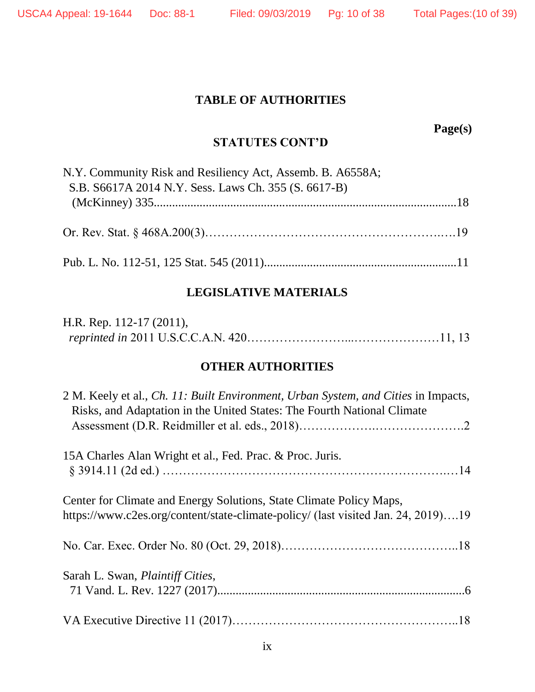**Page(s)**

### **STATUTES CONT'D**

| N.Y. Community Risk and Resiliency Act, Assemb. B. A6558A; |  |
|------------------------------------------------------------|--|
| S.B. S6617A 2014 N.Y. Sess. Laws Ch. 355 (S. 6617-B)       |  |
|                                                            |  |
|                                                            |  |

#### **LEGISLATIVE MATERIALS**

| H.R. Rep. $112-17(2011)$ , |  |
|----------------------------|--|
|                            |  |

#### **OTHER AUTHORITIES**

| 2 M. Keely et al., <i>Ch. 11: Built Environment, Urban System, and Cities</i> in Impacts,<br>Risks, and Adaptation in the United States: The Fourth National Climate |
|----------------------------------------------------------------------------------------------------------------------------------------------------------------------|
|                                                                                                                                                                      |
| 15A Charles Alan Wright et al., Fed. Prac. & Proc. Juris.                                                                                                            |
|                                                                                                                                                                      |
| Center for Climate and Energy Solutions, State Climate Policy Maps,                                                                                                  |
| https://www.c2es.org/content/state-climate-policy/ (last visited Jan. 24, 2019)19                                                                                    |
|                                                                                                                                                                      |
| Sarah L. Swan, <i>Plaintiff Cities</i> ,                                                                                                                             |
|                                                                                                                                                                      |
|                                                                                                                                                                      |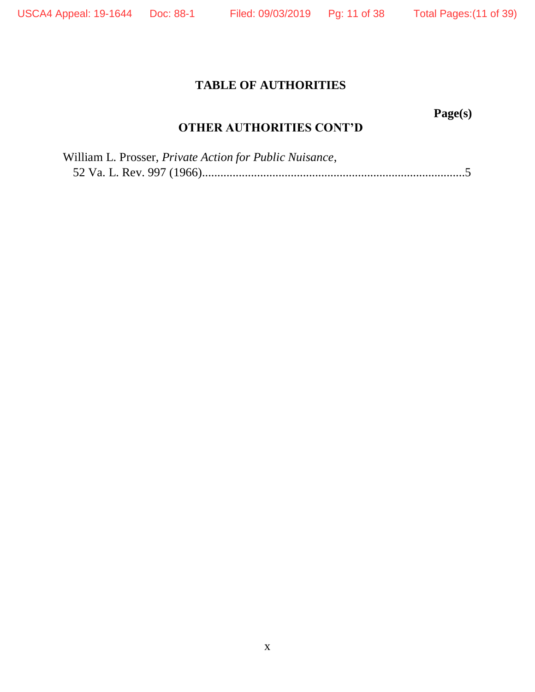**Page(s)**

### **OTHER AUTHORITIES CONT'D**

| William L. Prosser, Private Action for Public Nuisance, |  |
|---------------------------------------------------------|--|
|                                                         |  |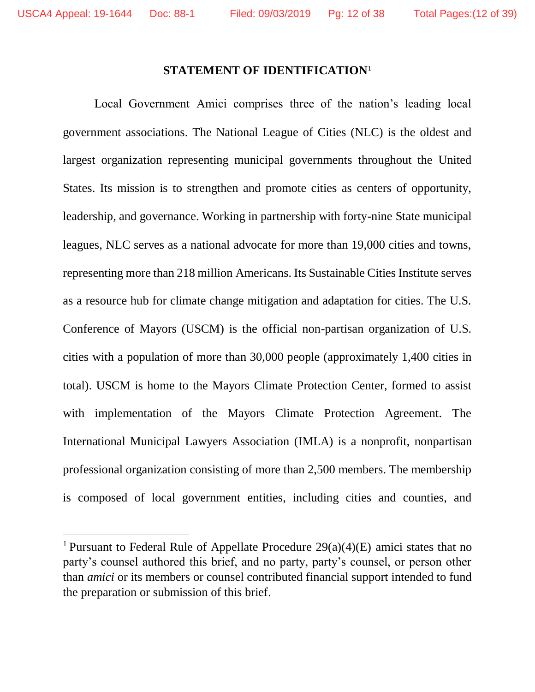#### **STATEMENT OF IDENTIFICATION**<sup>1</sup>

Local Government Amici comprises three of the nation's leading local government associations. The National League of Cities (NLC) is the oldest and largest organization representing municipal governments throughout the United States. Its mission is to strengthen and promote cities as centers of opportunity, leadership, and governance. Working in partnership with forty-nine State municipal leagues, NLC serves as a national advocate for more than 19,000 cities and towns, representing more than 218 million Americans. Its Sustainable Cities Institute serves as a resource hub for climate change mitigation and adaptation for cities. The U.S. Conference of Mayors (USCM) is the official non-partisan organization of U.S. cities with a population of more than 30,000 people (approximately 1,400 cities in total). USCM is home to the Mayors Climate Protection Center, formed to assist with implementation of the Mayors Climate Protection Agreement. The International Municipal Lawyers Association (IMLA) is a nonprofit, nonpartisan professional organization consisting of more than 2,500 members. The membership is composed of local government entities, including cities and counties, and

<sup>&</sup>lt;sup>1</sup> Pursuant to Federal Rule of Appellate Procedure  $29(a)(4)(E)$  amici states that no party's counsel authored this brief, and no party, party's counsel, or person other than *amici* or its members or counsel contributed financial support intended to fund the preparation or submission of this brief.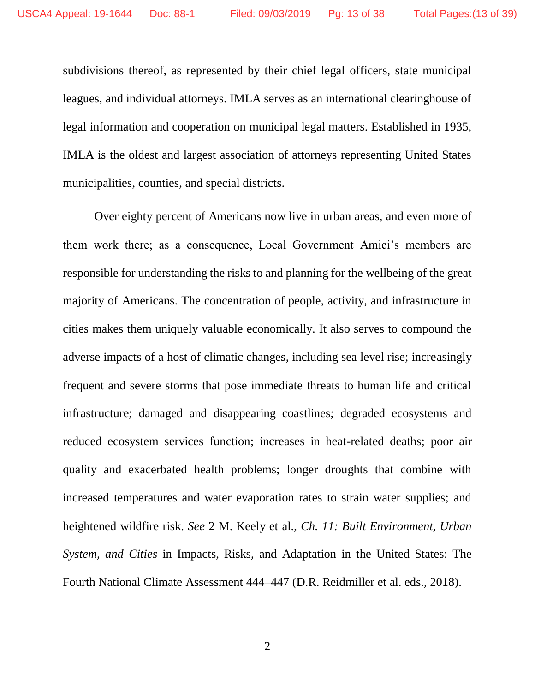subdivisions thereof, as represented by their chief legal officers, state municipal leagues, and individual attorneys. IMLA serves as an international clearinghouse of legal information and cooperation on municipal legal matters. Established in 1935, IMLA is the oldest and largest association of attorneys representing United States municipalities, counties, and special districts.

Over eighty percent of Americans now live in urban areas, and even more of them work there; as a consequence, Local Government Amici's members are responsible for understanding the risks to and planning for the wellbeing of the great majority of Americans. The concentration of people, activity, and infrastructure in cities makes them uniquely valuable economically. It also serves to compound the adverse impacts of a host of climatic changes, including sea level rise; increasingly frequent and severe storms that pose immediate threats to human life and critical infrastructure; damaged and disappearing coastlines; degraded ecosystems and reduced ecosystem services function; increases in heat-related deaths; poor air quality and exacerbated health problems; longer droughts that combine with increased temperatures and water evaporation rates to strain water supplies; and heightened wildfire risk. *See* 2 M. Keely et al., *Ch. 11: Built Environment, Urban System, and Cities* in Impacts, Risks, and Adaptation in the United States: The Fourth National Climate Assessment 444–447 (D.R. Reidmiller et al. eds., 2018).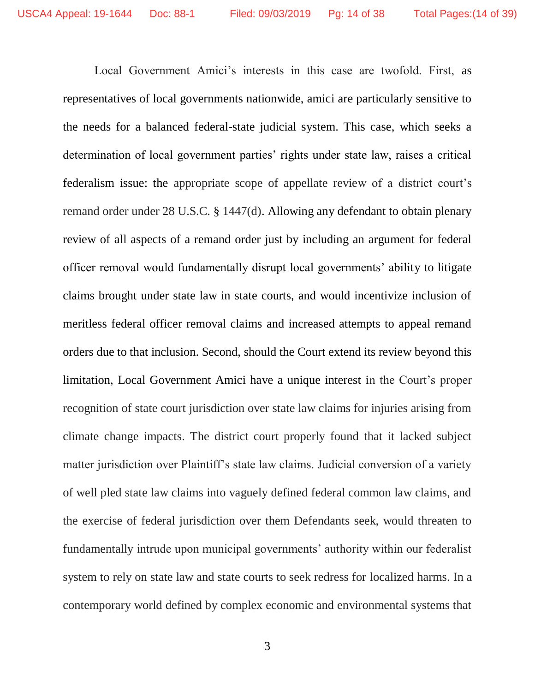Local Government Amici's interests in this case are twofold. First, as representatives of local governments nationwide, amici are particularly sensitive to the needs for a balanced federal-state judicial system. This case, which seeks a determination of local government parties' rights under state law, raises a critical federalism issue: the appropriate scope of appellate review of a district court's remand order under 28 U.S.C. § 1447(d). Allowing any defendant to obtain plenary review of all aspects of a remand order just by including an argument for federal officer removal would fundamentally disrupt local governments' ability to litigate claims brought under state law in state courts, and would incentivize inclusion of meritless federal officer removal claims and increased attempts to appeal remand orders due to that inclusion. Second, should the Court extend its review beyond this limitation, Local Government Amici have a unique interest in the Court's proper recognition of state court jurisdiction over state law claims for injuries arising from climate change impacts. The district court properly found that it lacked subject matter jurisdiction over Plaintiff's state law claims. Judicial conversion of a variety of well pled state law claims into vaguely defined federal common law claims, and the exercise of federal jurisdiction over them Defendants seek, would threaten to fundamentally intrude upon municipal governments' authority within our federalist system to rely on state law and state courts to seek redress for localized harms. In a contemporary world defined by complex economic and environmental systems that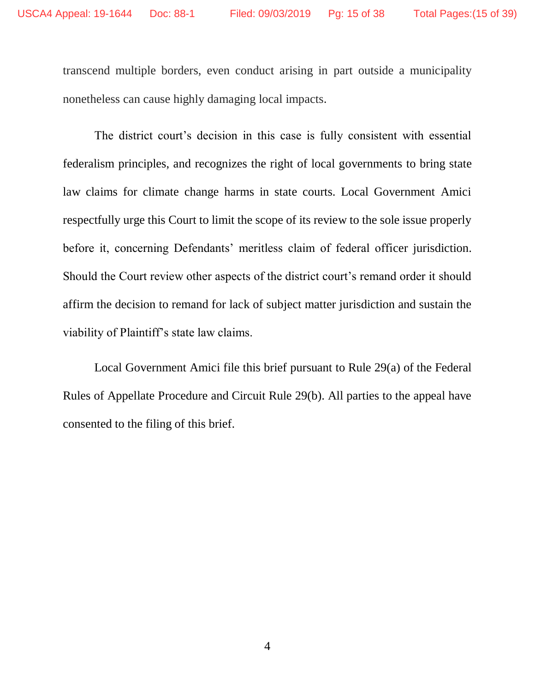transcend multiple borders, even conduct arising in part outside a municipality nonetheless can cause highly damaging local impacts.

The district court's decision in this case is fully consistent with essential federalism principles, and recognizes the right of local governments to bring state law claims for climate change harms in state courts. Local Government Amici respectfully urge this Court to limit the scope of its review to the sole issue properly before it, concerning Defendants' meritless claim of federal officer jurisdiction. Should the Court review other aspects of the district court's remand order it should affirm the decision to remand for lack of subject matter jurisdiction and sustain the viability of Plaintiff's state law claims.

Local Government Amici file this brief pursuant to Rule 29(a) of the Federal Rules of Appellate Procedure and Circuit Rule 29(b). All parties to the appeal have consented to the filing of this brief.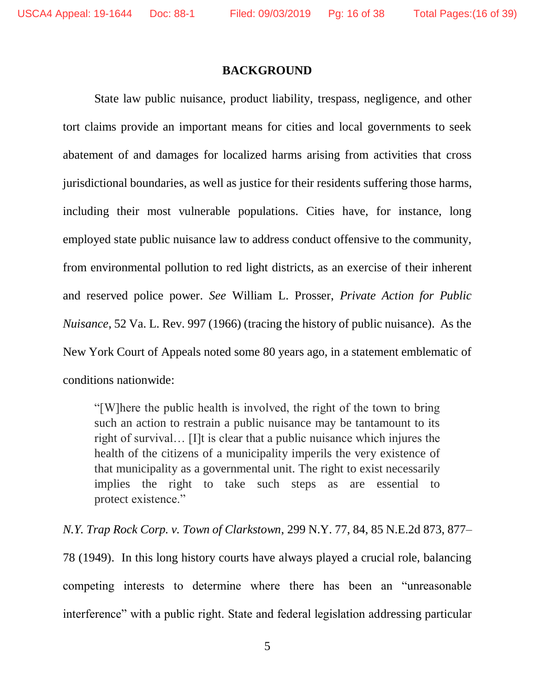#### **BACKGROUND**

State law public nuisance, product liability, trespass, negligence, and other tort claims provide an important means for cities and local governments to seek abatement of and damages for localized harms arising from activities that cross jurisdictional boundaries, as well as justice for their residents suffering those harms, including their most vulnerable populations. Cities have, for instance, long employed state public nuisance law to address conduct offensive to the community, from environmental pollution to red light districts, as an exercise of their inherent and reserved police power. *See* William L. Prosser, *Private Action for Public Nuisance*, 52 Va. L. Rev. 997 (1966) (tracing the history of public nuisance). As the New York Court of Appeals noted some 80 years ago, in a statement emblematic of conditions nationwide:

"[W]here the public health is involved, the right of the town to bring such an action to restrain a public nuisance may be tantamount to its right of survival… [I]t is clear that a public nuisance which injures the health of the citizens of a municipality imperils the very existence of that municipality as a governmental unit. The right to exist necessarily implies the right to take such steps as are essential to protect existence."

*N.Y. Trap Rock Corp. v. Town of Clarkstown*, 299 N.Y. 77, 84, 85 N.E.2d 873, 877– 78 (1949). In this long history courts have always played a crucial role, balancing competing interests to determine where there has been an "unreasonable interference" with a public right. State and federal legislation addressing particular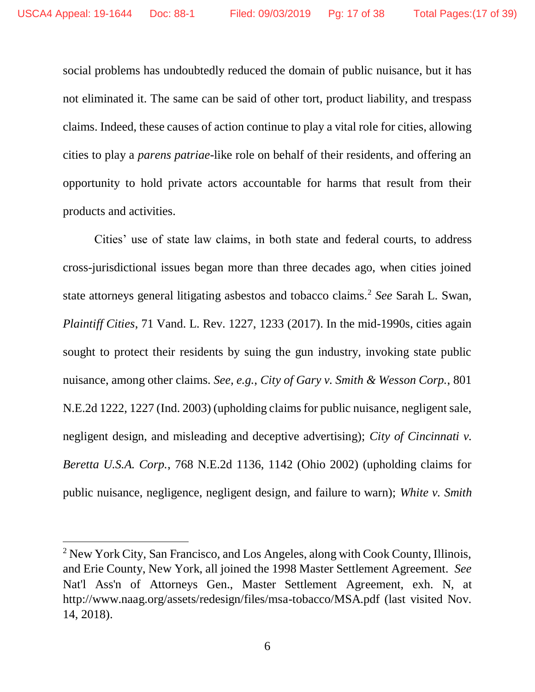social problems has undoubtedly reduced the domain of public nuisance, but it has not eliminated it. The same can be said of other tort, product liability, and trespass claims. Indeed, these causes of action continue to play a vital role for cities, allowing cities to play a *parens patriae*-like role on behalf of their residents, and offering an opportunity to hold private actors accountable for harms that result from their products and activities.

Cities' use of state law claims, in both state and federal courts, to address cross-jurisdictional issues began more than three decades ago, when cities joined state attorneys general litigating asbestos and tobacco claims.<sup>2</sup> *See* Sarah L. Swan, *Plaintiff Cities*, 71 Vand. L. Rev. 1227, 1233 (2017). In the mid-1990s, cities again sought to protect their residents by suing the gun industry, invoking state public nuisance, among other claims. *See, e.g.*, *City of Gary v. Smith & Wesson Corp.*, 801 N.E.2d 1222, 1227 (Ind. 2003) (upholding claims for public nuisance, negligent sale, negligent design, and misleading and deceptive advertising); *City of Cincinnati v. Beretta U.S.A. Corp.*, 768 N.E.2d 1136, 1142 (Ohio 2002) (upholding claims for public nuisance, negligence, negligent design, and failure to warn); *White v. Smith* 

<sup>&</sup>lt;sup>2</sup> New York City, San Francisco, and Los Angeles, along with Cook County, Illinois, and Erie County, New York, all joined the 1998 Master Settlement Agreement. *See* Nat'l Ass'n of Attorneys Gen., Master Settlement Agreement, exh. N, at [http://www.naag.org/assets/redesign/files/msa-tobacco/MSA.pdf](www.naag.org/assets/redesign/files/msa-tobacco/MSA.pdf) (last visited Nov. 14, 2018).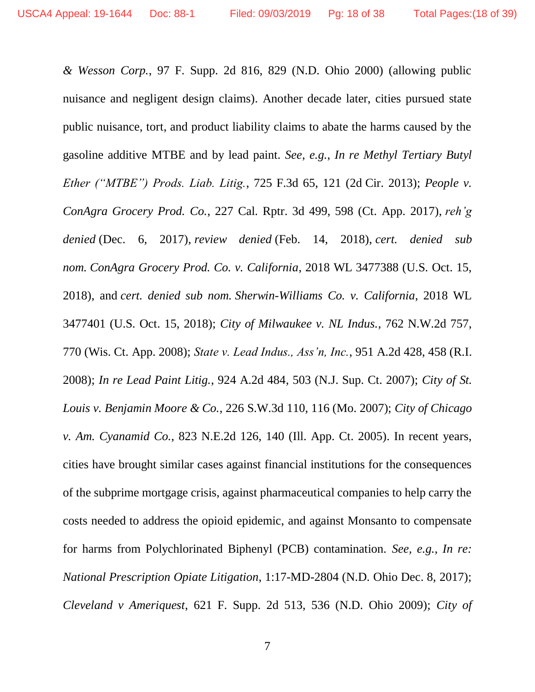*& Wesson Corp.*, 97 F. Supp. 2d 816, 829 (N.D. Ohio 2000) (allowing public nuisance and negligent design claims). Another decade later, cities pursued state public nuisance, tort, and product liability claims to abate the harms caused by the gasoline additive MTBE and by lead paint. *See, e.g.*, *In re Methyl Tertiary Butyl Ether ("MTBE") Prods. Liab. Litig.*, 725 F.3d 65, 121 (2d Cir. 2013); *People v. ConAgra Grocery Prod. Co.*, 227 Cal. Rptr. 3d 499, 598 (Ct. App. 2017), *reh'g denied* (Dec. 6, 2017), *review denied* (Feb. 14, 2018), *cert. denied sub nom. ConAgra Grocery Prod. Co. v. California*, 2018 WL 3477388 (U.S. Oct. 15, 2018), and *cert. denied sub nom. Sherwin-Williams Co. v. California*, 2018 WL 3477401 (U.S. Oct. 15, 2018); *City of Milwaukee v. NL Indus.*, 762 N.W.2d 757, 770 (Wis. Ct. App. 2008); *State v. Lead Indus., Ass'n, Inc.*, 951 A.2d 428, 458 (R.I. 2008); *In re Lead Paint Litig.*, 924 A.2d 484, 503 (N.J. Sup. Ct. 2007); *City of St. Louis v. Benjamin Moore & Co.*, 226 S.W.3d 110, 116 (Mo. 2007); *City of Chicago v. Am. Cyanamid Co.*, 823 N.E.2d 126, 140 (Ill. App. Ct. 2005). In recent years, cities have brought similar cases against financial institutions for the consequences of the subprime mortgage crisis, against pharmaceutical companies to help carry the costs needed to address the opioid epidemic, and against Monsanto to compensate for harms from Polychlorinated Biphenyl (PCB) contamination. *See, e.g.*, *In re: National Prescription Opiate Litigation*, 1:17-MD-2804 (N.D. Ohio Dec. 8, 2017); *Cleveland v Ameriquest*, 621 F. Supp. 2d 513, 536 (N.D. Ohio 2009); *City of*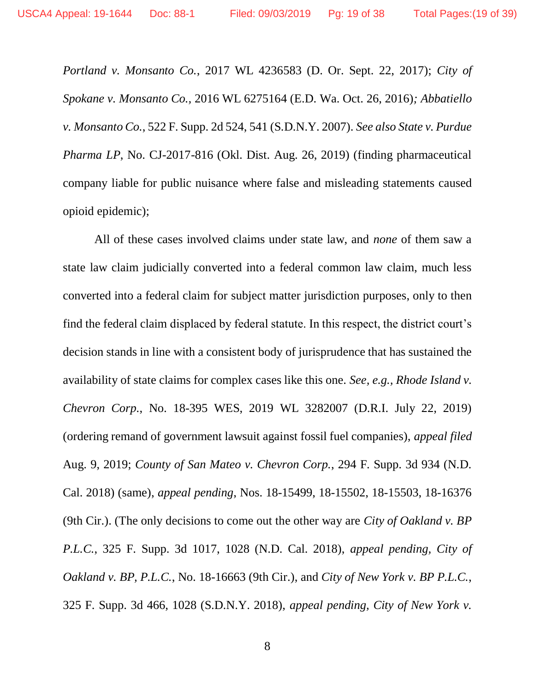*Portland v. Monsanto Co.*, 2017 WL 4236583 (D. Or. Sept. 22, 2017); *City of Spokane v. Monsanto Co.,* 2016 WL 6275164 (E.D. Wa. Oct. 26, 2016)*; Abbatiello v. Monsanto Co.*, 522 F. Supp. 2d 524, 541 (S.D.N.Y. 2007). *See also State v. Purdue Pharma LP*, No. CJ-2017-816 (Okl. Dist. Aug. 26, 2019) (finding pharmaceutical company liable for public nuisance where false and misleading statements caused opioid epidemic);

All of these cases involved claims under state law, and *none* of them saw a state law claim judicially converted into a federal common law claim, much less converted into a federal claim for subject matter jurisdiction purposes, only to then find the federal claim displaced by federal statute. In this respect, the district court's decision stands in line with a consistent body of jurisprudence that has sustained the availability of state claims for complex cases like this one. *See, e.g., Rhode Island v. Chevron Corp.*, No. 18-395 WES, 2019 WL 3282007 (D.R.I. July 22, 2019) (ordering remand of government lawsuit against fossil fuel companies), *appeal filed* Aug. 9, 2019; *County of San Mateo v. Chevron Corp.*, 294 F. Supp. 3d 934 (N.D. Cal. 2018) (same), *appeal pending*, Nos. 18-15499, 18-15502, 18-15503, 18-16376 (9th Cir.). (The only decisions to come out the other way are *City of Oakland v. BP P.L.C.*, 325 F. Supp. 3d 1017, 1028 (N.D. Cal. 2018), *appeal pending, City of Oakland v. BP, P.L.C.*, No. 18-16663 (9th Cir.), and *City of New York v. BP P.L.C.*, 325 F. Supp. 3d 466, 1028 (S.D.N.Y. 2018), *appeal pending, City of New York v.*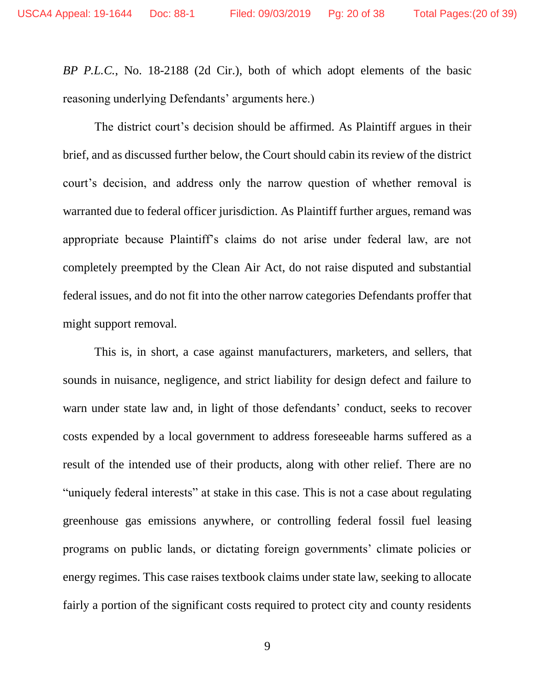*BP P.L.C.*, No. 18-2188 (2d Cir.), both of which adopt elements of the basic reasoning underlying Defendants' arguments here.)

The district court's decision should be affirmed. As Plaintiff argues in their brief, and as discussed further below, the Court should cabin its review of the district court's decision, and address only the narrow question of whether removal is warranted due to federal officer jurisdiction. As Plaintiff further argues, remand was appropriate because Plaintiff's claims do not arise under federal law, are not completely preempted by the Clean Air Act, do not raise disputed and substantial federal issues, and do not fit into the other narrow categories Defendants proffer that might support removal.

This is, in short, a case against manufacturers, marketers, and sellers, that sounds in nuisance, negligence, and strict liability for design defect and failure to warn under state law and, in light of those defendants' conduct, seeks to recover costs expended by a local government to address foreseeable harms suffered as a result of the intended use of their products, along with other relief. There are no "uniquely federal interests" at stake in this case. This is not a case about regulating greenhouse gas emissions anywhere, or controlling federal fossil fuel leasing programs on public lands, or dictating foreign governments' climate policies or energy regimes. This case raises textbook claims under state law, seeking to allocate fairly a portion of the significant costs required to protect city and county residents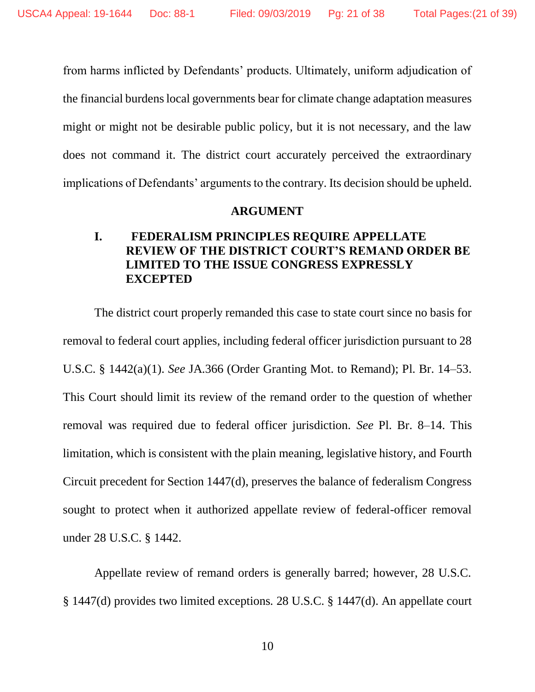from harms inflicted by Defendants' products. Ultimately, uniform adjudication of the financial burdens local governments bear for climate change adaptation measures might or might not be desirable public policy, but it is not necessary, and the law does not command it. The district court accurately perceived the extraordinary implications of Defendants' arguments to the contrary. Its decision should be upheld.

#### **ARGUMENT**

#### **I. FEDERALISM PRINCIPLES REQUIRE APPELLATE REVIEW OF THE DISTRICT COURT'S REMAND ORDER BE LIMITED TO THE ISSUE CONGRESS EXPRESSLY EXCEPTED**

The district court properly remanded this case to state court since no basis for removal to federal court applies, including federal officer jurisdiction pursuant to 28 U.S.C. § 1442(a)(1). *See* JA.366 (Order Granting Mot. to Remand); Pl. Br. 14–53. This Court should limit its review of the remand order to the question of whether removal was required due to federal officer jurisdiction. *See* Pl. Br. 8–14. This limitation, which is consistent with the plain meaning, legislative history, and Fourth Circuit precedent for Section 1447(d), preserves the balance of federalism Congress sought to protect when it authorized appellate review of federal-officer removal under 28 U.S.C. § 1442.

Appellate review of remand orders is generally barred; however, 28 U.S.C. § 1447(d) provides two limited exceptions*.* 28 U.S.C. § 1447(d). An appellate court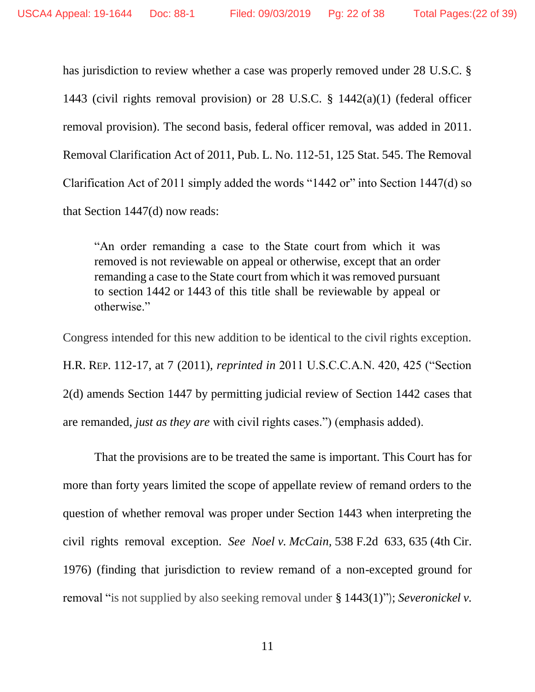has jurisdiction to review whether a case was properly removed under 28 U.S.C. § 1443 (civil rights removal provision) or 28 U.S.C. § 1442(a)(1) (federal officer removal provision). The second basis, federal officer removal, was added in 2011. Removal Clarification Act of 2011, Pub. L. No. 112-51, 125 Stat. 545. The Removal Clarification Act of 2011 simply added the words "1442 or" into Section 1447(d) so that Section 1447(d) now reads:

"An order remanding a case to the [State court](https://www.law.cornell.edu/definitions/uscode.php?width=840&height=800&iframe=true&def_id=28-USC-1383817500-1054448232&term_occur=38&term_src=title:28:part:IV:chapter:89:section:1447) from which it was removed is not reviewable on appeal or otherwise, except that an order remanding a case to the [State court](https://www.law.cornell.edu/definitions/uscode.php?width=840&height=800&iframe=true&def_id=28-USC-1383817500-1054448232&term_occur=39&term_src=title:28:part:IV:chapter:89:section:1447) from which it was removed pursuant to section [1442](https://www.law.cornell.edu/uscode/text/28/1442) or [1443](https://www.law.cornell.edu/uscode/text/28/1443) of this title shall be reviewable by appeal or otherwise."

Congress intended for this new addition to be identical to the civil rights exception. H.R. REP. 112-17, at 7 (2011), *reprinted in* 2011 U.S.C.C.A.N. 420, 425 ("Section 2(d) amends Section 1447 by permitting judicial review of Section 1442 cases that are remanded, *just as they are* with civil rights cases.") (emphasis added).

That the provisions are to be treated the same is important. This Court has for more than forty years limited the scope of appellate review of remand orders to the question of whether removal was proper under Section 1443 when interpreting the civil rights removal exception. *See Noel v. McCain,* 538 F.2d 633, 635 (4th Cir. 1976) (finding that jurisdiction to review remand of a non-excepted ground for removal "is not supplied by also seeking removal under § 1443(1)"); *Severonickel v.*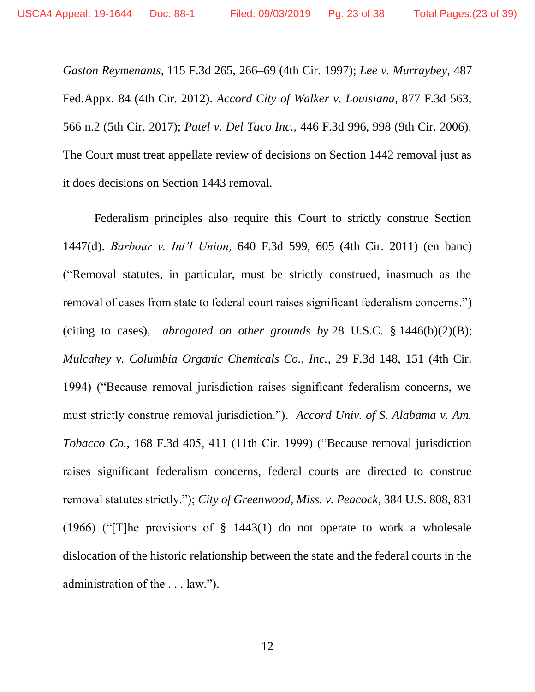*Gaston Reymenants,* 115 F.3d 265, 266–69 (4th Cir. 1997); *Lee v. Murraybey,* 487 Fed.Appx. 84 (4th Cir. 2012). *Accord City of Walker v. Louisiana*, 877 F.3d 563, 566 n.2 (5th Cir. 2017); *Patel v. Del Taco Inc.,* 446 F.3d 996, 998 (9th Cir. 2006). The Court must treat appellate review of decisions on Section 1442 removal just as it does decisions on Section 1443 removal.

Federalism principles also require this Court to strictly construe Section 1447(d). *Barbour v. Int'l Union*, 640 F.3d 599, 605 (4th Cir. 2011) (en banc) ("Removal statutes, in particular, must be strictly construed, inasmuch as the removal of cases from state to federal court raises significant federalism concerns.") (citing to cases), *abrogated on other grounds by* 28 U.S.C. § [1446\(b\)\(2\)\(B\);](https://1.next.westlaw.com/Link/Document/FullText?findType=L&pubNum=1000546&cite=28USCAS1446&originatingDoc=I6be2ddafc06711e1b343c837631e1747&refType=RB&originationContext=document&transitionType=DocumentItem&contextData=(sc.UserEnteredCitation)#co_pp_424e0000ad683) *Mulcahey v. Columbia Organic Chemicals Co., Inc.*, 29 F.3d 148, 151 (4th Cir. 1994) ("Because removal jurisdiction raises significant federalism concerns, we must strictly construe removal jurisdiction."). *Accord Univ. of S. Alabama v. Am. Tobacco Co.*, 168 F.3d 405, 411 (11th Cir. 1999) ("Because removal jurisdiction raises significant federalism concerns, federal courts are directed to construe removal statutes strictly."); *City of Greenwood, Miss. v. Peacock*, 384 U.S. 808, 831 (1966) ("[T]he provisions of § 1443(1) do not operate to work a wholesale dislocation of the historic relationship between the state and the federal courts in the administration of the . . . law.").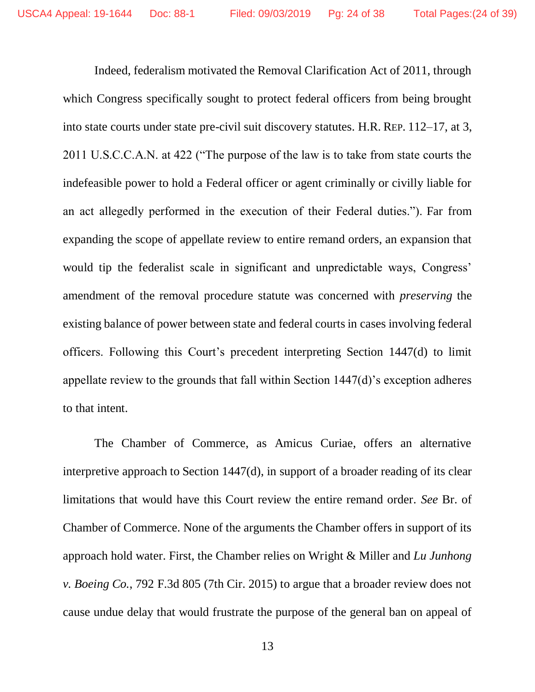Indeed, federalism motivated the Removal Clarification Act of 2011, through which Congress specifically sought to protect federal officers from being brought into state courts under state pre-civil suit discovery statutes. H.R. REP. 112–17, at 3, 2011 U.S.C.C.A.N. at 422 ("The purpose of the law is to take from state courts the indefeasible power to hold a Federal officer or agent criminally or civilly liable for an act allegedly performed in the execution of their Federal duties."). Far from expanding the scope of appellate review to entire remand orders, an expansion that would tip the federalist scale in significant and unpredictable ways, Congress' amendment of the removal procedure statute was concerned with *preserving* the existing balance of power between state and federal courts in cases involving federal officers. Following this Court's precedent interpreting Section 1447(d) to limit appellate review to the grounds that fall within Section 1447(d)'s exception adheres to that intent.

The Chamber of Commerce, as Amicus Curiae, offers an alternative interpretive approach to Section 1447(d), in support of a broader reading of its clear limitations that would have this Court review the entire remand order. *See* Br. of Chamber of Commerce. None of the arguments the Chamber offers in support of its approach hold water. First, the Chamber relies on Wright & Miller and *Lu Junhong v. Boeing Co.*, 792 F.3d 805 (7th Cir. 2015) to argue that a broader review does not cause undue delay that would frustrate the purpose of the general ban on appeal of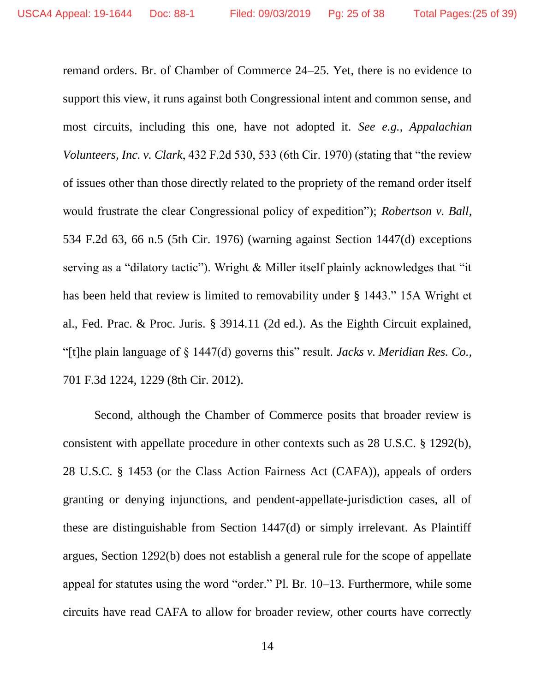remand orders. Br. of Chamber of Commerce 24–25. Yet, there is no evidence to support this view, it runs against both Congressional intent and common sense, and most circuits, including this one, have not adopted it. *See e.g.*, *Appalachian Volunteers, Inc. v. Clark*, 432 F.2d 530, 533 (6th Cir. 1970) (stating that "the review of issues other than those directly related to the propriety of the remand order itself would frustrate the clear Congressional policy of expedition"); *Robertson v. Ball*, 534 F.2d 63, 66 n.5 (5th Cir. 1976) (warning against Section 1447(d) exceptions serving as a "dilatory tactic"). Wright & Miller itself plainly acknowledges that "it has been held that review is limited to removability under § 1443." 15A Wright et al., Fed. Prac. & Proc. Juris. § 3914.11 (2d ed.). As the Eighth Circuit explained, "[t]he plain language of § 1447(d) governs this" result. *Jacks v. Meridian Res. Co.,*  701 F.3d 1224, 1229 (8th Cir. 2012).

Second, although the Chamber of Commerce posits that broader review is consistent with appellate procedure in other contexts such as 28 U.S.C. § 1292(b), 28 U.S.C. § 1453 (or the Class Action Fairness Act (CAFA)), appeals of orders granting or denying injunctions, and pendent-appellate-jurisdiction cases, all of these are distinguishable from Section 1447(d) or simply irrelevant. As Plaintiff argues, Section 1292(b) does not establish a general rule for the scope of appellate appeal for statutes using the word "order." Pl. Br. 10–13. Furthermore, while some circuits have read CAFA to allow for broader review, other courts have correctly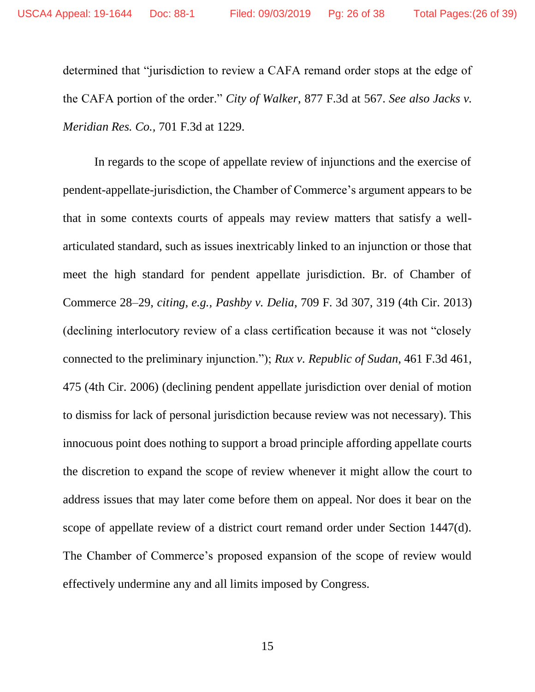determined that "jurisdiction to review a CAFA remand order stops at the edge of the CAFA portion of the order." *City of Walker*, 877 F.3d at 567. *See also [Jacks v.](https://1.next.westlaw.com/Link/Document/FullText?findType=Y&serNum=2029450525&pubNum=0000506&originatingDoc=I383adac0d73111e7af08dbc2fa7f734f&refType=RP&fi=co_pp_sp_506_1228&originationContext=document&transitionType=DocumentItem&contextData=(sc.UserEnteredCitation)#co_pp_sp_506_1228)  [Meridian Res. Co.,](https://1.next.westlaw.com/Link/Document/FullText?findType=Y&serNum=2029450525&pubNum=0000506&originatingDoc=I383adac0d73111e7af08dbc2fa7f734f&refType=RP&fi=co_pp_sp_506_1228&originationContext=document&transitionType=DocumentItem&contextData=(sc.UserEnteredCitation)#co_pp_sp_506_1228)* 701 F.3d at 1229.

In regards to the scope of appellate review of injunctions and the exercise of pendent-appellate-jurisdiction, the Chamber of Commerce's argument appears to be that in some contexts courts of appeals may review matters that satisfy a wellarticulated standard, such as issues inextricably linked to an injunction or those that meet the high standard for pendent appellate jurisdiction. Br. of Chamber of Commerce 28–29, *citing, e.g., Pashby v. Delia*, 709 F. 3d 307, 319 (4th Cir. 2013) (declining interlocutory review of a class certification because it was not "closely connected to the preliminary injunction."); *Rux v. Republic of Sudan*, 461 F.3d 461, 475 (4th Cir. 2006) (declining pendent appellate jurisdiction over denial of motion to dismiss for lack of personal jurisdiction because review was not necessary). This innocuous point does nothing to support a broad principle affording appellate courts the discretion to expand the scope of review whenever it might allow the court to address issues that may later come before them on appeal. Nor does it bear on the scope of appellate review of a district court remand order under Section 1447(d). The Chamber of Commerce's proposed expansion of the scope of review would effectively undermine any and all limits imposed by Congress.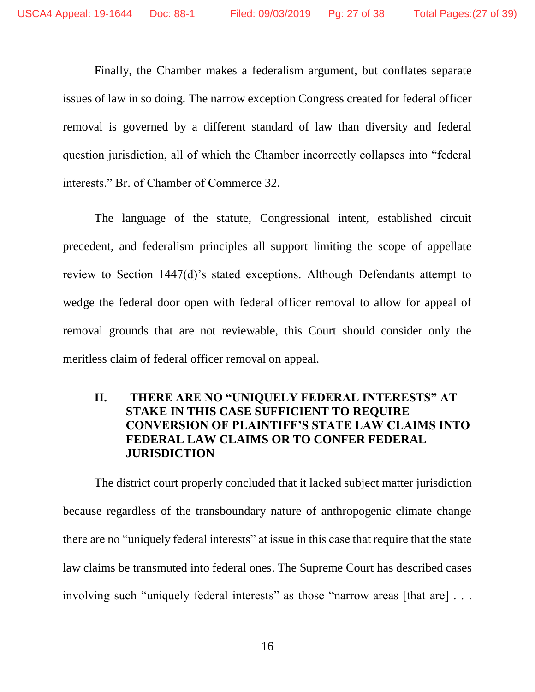Finally, the Chamber makes a federalism argument, but conflates separate issues of law in so doing. The narrow exception Congress created for federal officer removal is governed by a different standard of law than diversity and federal question jurisdiction, all of which the Chamber incorrectly collapses into "federal interests." Br. of Chamber of Commerce 32.

The language of the statute, Congressional intent, established circuit precedent, and federalism principles all support limiting the scope of appellate review to Section 1447(d)'s stated exceptions. Although Defendants attempt to wedge the federal door open with federal officer removal to allow for appeal of removal grounds that are not reviewable, this Court should consider only the meritless claim of federal officer removal on appeal.

#### **II. THERE ARE NO "UNIQUELY FEDERAL INTERESTS" AT STAKE IN THIS CASE SUFFICIENT TO REQUIRE CONVERSION OF PLAINTIFF'S STATE LAW CLAIMS INTO FEDERAL LAW CLAIMS OR TO CONFER FEDERAL JURISDICTION**

The district court properly concluded that it lacked subject matter jurisdiction because regardless of the transboundary nature of anthropogenic climate change there are no "uniquely federal interests" at issue in this case that require that the state law claims be transmuted into federal ones. The Supreme Court has described cases involving such "uniquely federal interests" as those "narrow areas [that are] ...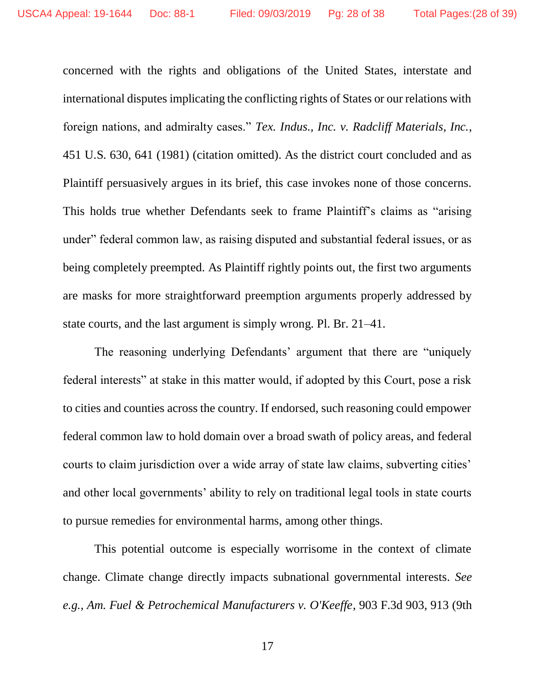concerned with the rights and obligations of the United States, interstate and international disputes implicating the conflicting rights of States or our relations with foreign nations, and admiralty cases." *Tex. Indus., Inc. v. Radcliff Materials, Inc.*, 451 U.S. 630, 641 (1981) (citation omitted). As the district court concluded and as Plaintiff persuasively argues in its brief, this case invokes none of those concerns. This holds true whether Defendants seek to frame Plaintiff's claims as "arising under" federal common law, as raising disputed and substantial federal issues, or as being completely preempted. As Plaintiff rightly points out, the first two arguments are masks for more straightforward preemption arguments properly addressed by state courts, and the last argument is simply wrong. Pl. Br. 21–41.

The reasoning underlying Defendants' argument that there are "uniquely federal interests" at stake in this matter would, if adopted by this Court, pose a risk to cities and counties across the country. If endorsed, such reasoning could empower federal common law to hold domain over a broad swath of policy areas, and federal courts to claim jurisdiction over a wide array of state law claims, subverting cities' and other local governments' ability to rely on traditional legal tools in state courts to pursue remedies for environmental harms, among other things.

This potential outcome is especially worrisome in the context of climate change. Climate change directly impacts subnational governmental interests. *See e.g.*, *Am. Fuel & Petrochemical Manufacturers v. O'Keeffe*, 903 F.3d 903, 913 (9th

17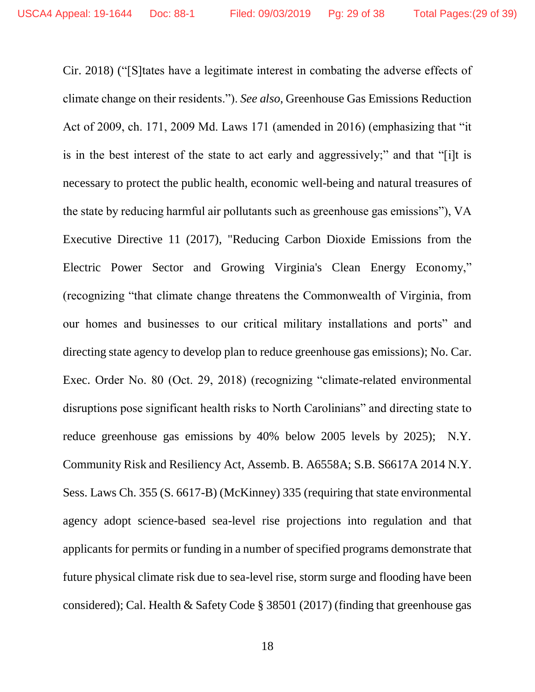Cir. 2018) ("[S]tates have a legitimate interest in combating the adverse effects of climate change on their residents."). *See also*, Greenhouse Gas Emissions Reduction Act of 2009, ch. 171, 2009 Md. Laws 171 (amended in 2016) (emphasizing that "it is in the best interest of the state to act early and aggressively;" and that "[i]t is necessary to protect the public health, economic well-being and natural treasures of the state by reducing harmful air pollutants such as greenhouse gas emissions"), VA Executive Directive 11 (2017), "Reducing Carbon Dioxide Emissions from the Electric Power Sector and Growing Virginia's Clean Energy Economy," (recognizing "that climate change threatens the Commonwealth of Virginia, from our homes and businesses to our critical military installations and ports" and directing state agency to develop plan to reduce greenhouse gas emissions); No. Car. Exec. Order No. 80 (Oct. 29, 2018) (recognizing "climate-related environmental disruptions pose significant health risks to North Carolinians" and directing state to reduce greenhouse gas emissions by 40% below 2005 levels by 2025); N.Y. Community Risk and Resiliency Act, Assemb. B. A6558A; S.B. S6617A 2014 N.Y. Sess. Laws Ch. 355 (S. 6617-B) (McKinney) 335 (requiring that state environmental agency adopt science-based sea-level rise projections into regulation and that applicants for permits or funding in a number of specified programs demonstrate that future physical climate risk due to sea-level rise, storm surge and flooding have been considered); Cal. Health & Safety Code § 38501 (2017) (finding that greenhouse gas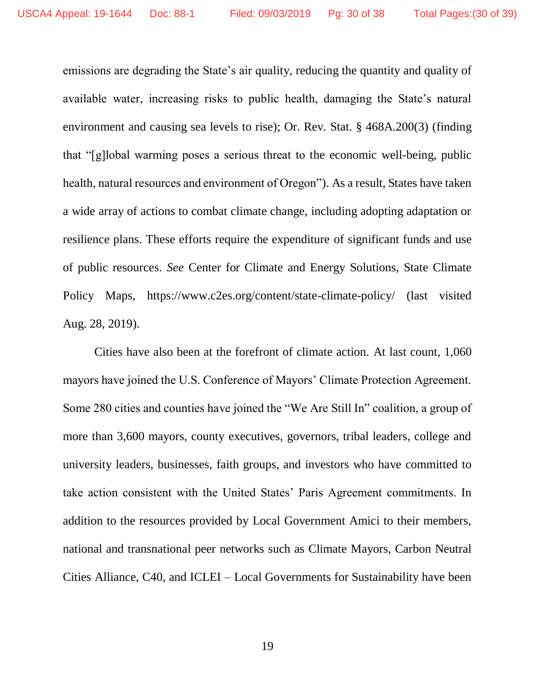emissions are degrading the State's air quality, reducing the quantity and quality of available water, increasing risks to public health, damaging the State's natural environment and causing sea levels to rise); Or. Rev. Stat. § 468A.200(3) (finding that "[g]lobal warming poses a serious threat to the economic well-being, public health, natural resources and environment of Oregon"). As a result, States have taken a wide array of actions to combat climate change, including adopting adaptation or resilience plans. These efforts require the expenditure of significant funds and use of public resources. *See* Center for Climate and Energy Solutions, State Climate Policy Maps, <https://www.c2es.org/content/state-climate-policy/> (last visited Aug. 28, 2019).

Cities have also been at the forefront of climate action. At last count, 1,060 mayors have joined the U.S. Conference of Mayors' Climate Protection Agreement. Some 280 cities and counties have joined the "We Are Still In" coalition, a group of more than 3,600 mayors, county executives, governors, tribal leaders, college and university leaders, businesses, faith groups, and investors who have committed to take action consistent with the United States' Paris Agreement commitments. In addition to the resources provided by Local Government Amici to their members, national and transnational peer networks such as Climate Mayors, Carbon Neutral Cities Alliance, C40, and ICLEI – Local Governments for Sustainability have been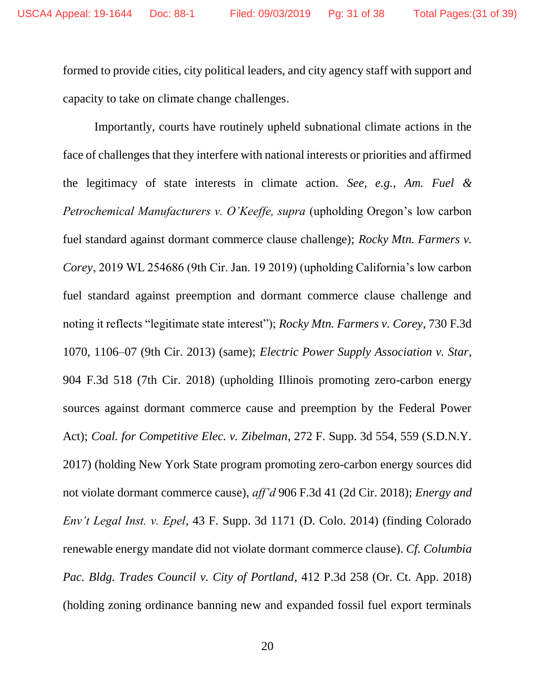formed to provide cities, city political leaders, and city agency staff with support and capacity to take on climate change challenges.

Importantly, courts have routinely upheld subnational climate actions in the face of challenges that they interfere with national interests or priorities and affirmed the legitimacy of state interests in climate action. *See, e.g.*, *Am. Fuel & Petrochemical Manufacturers v. O'Keeffe, supra (upholding Oregon's low carbon* fuel standard against dormant commerce clause challenge); *Rocky Mtn. Farmers v. Corey*, 2019 WL 254686 (9th Cir. Jan. 19 2019) (upholding California's low carbon fuel standard against preemption and dormant commerce clause challenge and noting it reflects "legitimate state interest"); *Rocky Mtn. Farmers v. Corey*, 730 F.3d 1070, 1106–07 (9th Cir. 2013) (same); *Electric Power Supply Association v. Star*, 904 F.3d 518 (7th Cir. 2018) (upholding Illinois promoting zero-carbon energy sources against dormant commerce cause and preemption by the Federal Power Act); *Coal. for Competitive Elec. v. Zibelman*, 272 F. Supp. 3d 554, 559 (S.D.N.Y. 2017) (holding New York State program promoting zero-carbon energy sources did not violate dormant commerce cause), *aff'd* 906 F.3d 41 (2d Cir. 2018); *Energy and Env't Legal Inst. v. Epel*, 43 F. Supp. 3d 1171 (D. Colo. 2014) (finding Colorado renewable energy mandate did not violate dormant commerce clause). *Cf. Columbia Pac. Bldg. Trades Council v. City of Portland*, 412 P.3d 258 (Or. Ct. App. 2018) (holding zoning ordinance banning new and expanded fossil fuel export terminals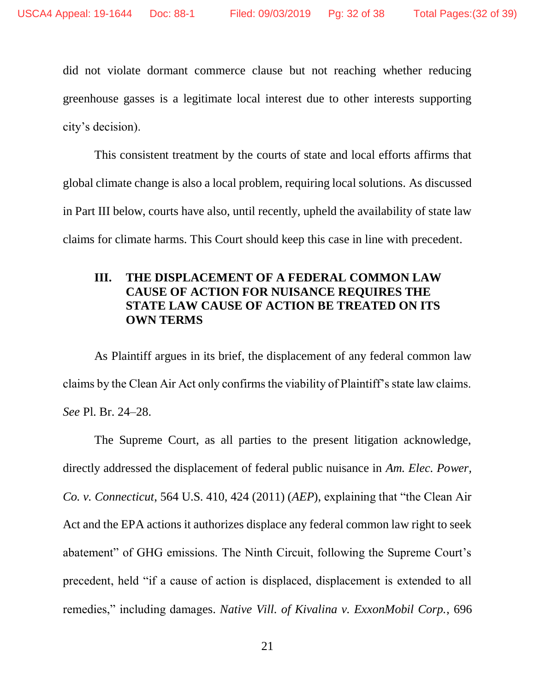did not violate dormant commerce clause but not reaching whether reducing greenhouse gasses is a legitimate local interest due to other interests supporting city's decision).

This consistent treatment by the courts of state and local efforts affirms that global climate change is also a local problem, requiring local solutions. As discussed in Part III below, courts have also, until recently, upheld the availability of state law claims for climate harms. This Court should keep this case in line with precedent.

#### **III. THE DISPLACEMENT OF A FEDERAL COMMON LAW CAUSE OF ACTION FOR NUISANCE REQUIRES THE STATE LAW CAUSE OF ACTION BE TREATED ON ITS OWN TERMS**

As Plaintiff argues in its brief, the displacement of any federal common law claims by the Clean Air Act only confirms the viability of Plaintiff's state law claims. *See* Pl. Br. 24–28.

The Supreme Court, as all parties to the present litigation acknowledge, directly addressed the displacement of federal public nuisance in *Am. Elec. Power, Co. v. Connecticut*, 564 U.S. 410, 424 (2011) (*AEP*), explaining that "the Clean Air Act and the EPA actions it authorizes displace any federal common law right to seek abatement" of GHG emissions. The Ninth Circuit, following the Supreme Court's precedent, held "if a cause of action is displaced, displacement is extended to all remedies," including damages. *Native Vill. of Kivalina v. ExxonMobil Corp.*, 696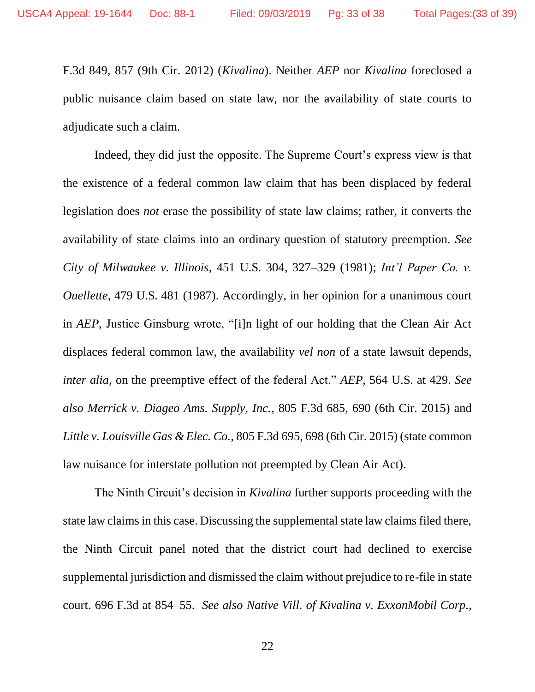F.3d 849, 857 (9th Cir. 2012) (*Kivalina*). Neither *AEP* nor *Kivalina* foreclosed a public nuisance claim based on state law, nor the availability of state courts to adjudicate such a claim.

Indeed, they did just the opposite. The Supreme Court's express view is that the existence of a federal common law claim that has been displaced by federal legislation does *not* erase the possibility of state law claims; rather, it converts the availability of state claims into an ordinary question of statutory preemption. *See City of Milwaukee v. Illinois*, 451 U.S. 304, 327–329 (1981); *Int'l Paper Co. v. Ouellette*, 479 U.S. 481 (1987). Accordingly, in her opinion for a unanimous court in *AEP*, Justice Ginsburg wrote, "[i]n light of our holding that the Clean Air Act displaces federal common law, the availability *vel non* of a state lawsuit depends, *inter alia*, on the preemptive effect of the federal Act." *AEP*, 564 U.S. at 429. *See also Merrick v. Diageo Ams. Supply, Inc.*, 805 F.3d 685, 690 (6th Cir. 2015) and *Little v. Louisville Gas & Elec. Co.*, 805 F.3d 695, 698 (6th Cir. 2015) (state common law nuisance for interstate pollution not preempted by Clean Air Act).

The Ninth Circuit's decision in *Kivalina* further supports proceeding with the state law claims in this case. Discussing the supplemental state law claims filed there, the Ninth Circuit panel noted that the district court had declined to exercise supplemental jurisdiction and dismissed the claim without prejudice to re-file in state court. 696 F.3d at 854–55. *See also Native Vill. of Kivalina v. ExxonMobil Corp.*,

22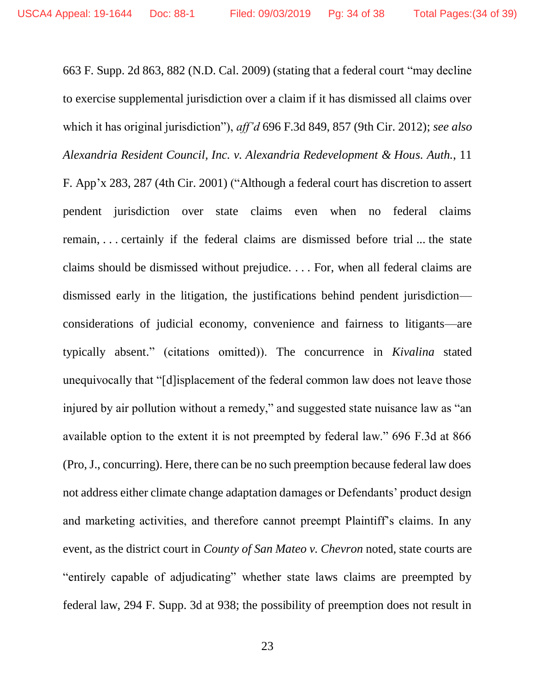663 F. Supp. 2d 863, 882 (N.D. Cal. 2009) (stating that a federal court "may decline to exercise supplemental jurisdiction over a claim if it has dismissed all claims over which it has original jurisdiction"), *aff'd* 696 F.3d 849, 857 (9th Cir. 2012); *see also Alexandria Resident Council, Inc. v. Alexandria Redevelopment & Hous. Auth.*, 11 F. App'x 283, 287 (4th Cir. 2001) ("Although a federal court has discretion to assert pendent jurisdiction over state claims even when no federal claims remain, . . . certainly if the federal claims are dismissed before trial ... the state claims should be dismissed without prejudice. . . . For, when all federal claims are dismissed early in the litigation, the justifications behind pendent jurisdiction considerations of judicial economy, convenience and fairness to litigants—are typically absent." (citations omitted)). The concurrence in *Kivalina* stated unequivocally that "[d]isplacement of the federal common law does not leave those injured by air pollution without a remedy," and suggested state nuisance law as "an available option to the extent it is not preempted by federal law." 696 F.3d at 866 (Pro, J., concurring). Here, there can be no such preemption because federal law does not address either climate change adaptation damages or Defendants' product design and marketing activities, and therefore cannot preempt Plaintiff's claims. In any event, as the district court in *County of San Mateo v. Chevron* noted, state courts are "entirely capable of adjudicating" whether state laws claims are preempted by federal law, 294 F. Supp. 3d at 938; the possibility of preemption does not result in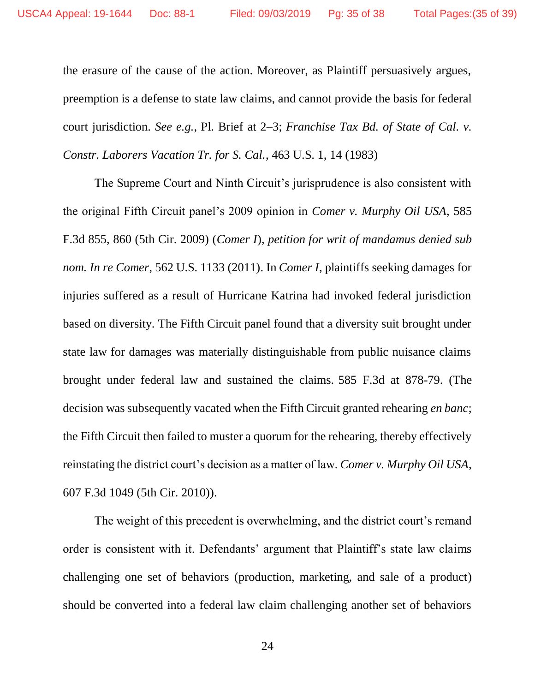the erasure of the cause of the action. Moreover, as Plaintiff persuasively argues, preemption is a defense to state law claims, and cannot provide the basis for federal court jurisdiction. *See e.g.*, Pl. Brief at 2–3; *Franchise Tax Bd. of State of Cal. v. Constr. Laborers Vacation Tr. for S. Cal.*, 463 U.S. 1, 14 (1983)

The Supreme Court and Ninth Circuit's jurisprudence is also consistent with the original Fifth Circuit panel's 2009 opinion in *Comer v. Murphy Oil USA*, 585 F.3d 855, 860 (5th Cir. 2009) (*Comer I*), *petition for writ of mandamus denied sub nom. In re Comer*, 562 U.S. 1133 (2011). In *Comer I*, plaintiffs seeking damages for injuries suffered as a result of Hurricane Katrina had invoked federal jurisdiction based on diversity. The Fifth Circuit panel found that a diversity suit brought under state law for damages was materially distinguishable from public nuisance claims brought under federal law and sustained the claims. 585 F.3d at 878-79. (The decision was subsequently vacated when the Fifth Circuit granted rehearing *en banc*; the Fifth Circuit then failed to muster a quorum for the rehearing, thereby effectively reinstating the district court's decision as a matter of law. *Comer v. Murphy Oil USA*, 607 F.3d 1049 (5th Cir. 2010)).

The weight of this precedent is overwhelming, and the district court's remand order is consistent with it. Defendants' argument that Plaintiff's state law claims challenging one set of behaviors (production, marketing, and sale of a product) should be converted into a federal law claim challenging another set of behaviors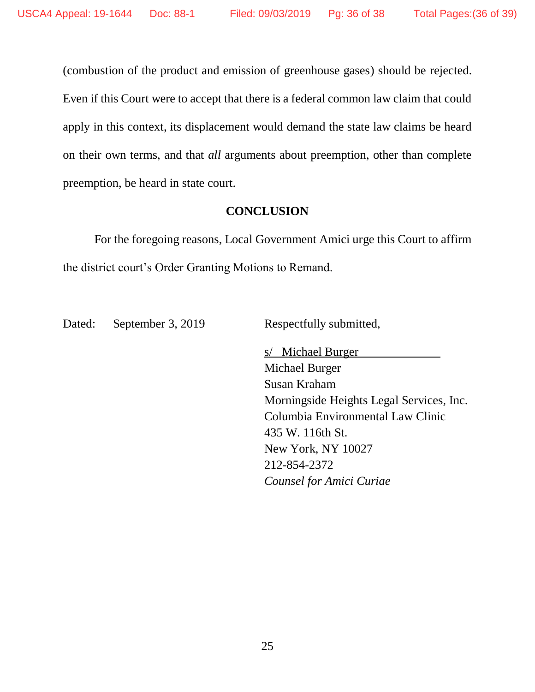(combustion of the product and emission of greenhouse gases) should be rejected. Even if this Court were to accept that there is a federal common law claim that could apply in this context, its displacement would demand the state law claims be heard on their own terms, and that *all* arguments about preemption, other than complete preemption, be heard in state court.

#### **CONCLUSION**

For the foregoing reasons, Local Government Amici urge this Court to affirm the district court's Order Granting Motions to Remand.

Dated: September 3, 2019 Respectfully submitted,

s/ Michael Burger Michael Burger Susan Kraham Morningside Heights Legal Services, Inc. Columbia Environmental Law Clinic 435 W. 116th St. New York, NY 10027 212-854-2372 *Counsel for Amici Curiae*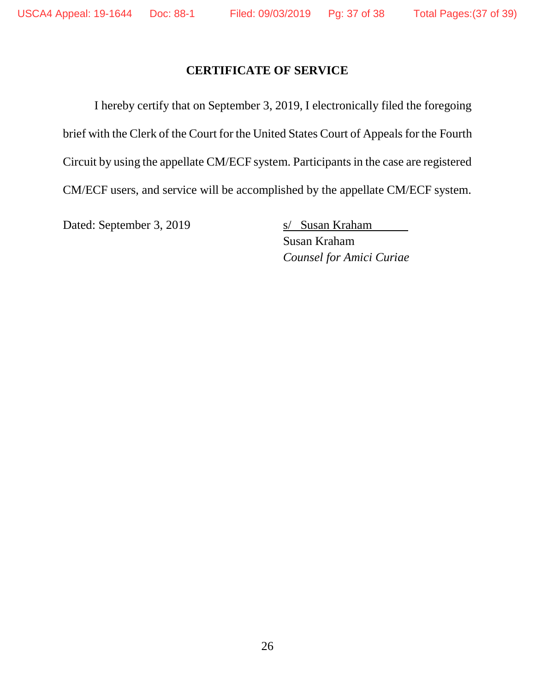#### **CERTIFICATE OF SERVICE**

I hereby certify that on September 3, 2019, I electronically filed the foregoing brief with the Clerk of the Court for the United States Court of Appeals for the Fourth Circuit by using the appellate CM/ECF system. Participants in the case are registered CM/ECF users, and service will be accomplished by the appellate CM/ECF system.

Dated: September 3, 2019 s/ Susan Kraham

Susan Kraham *Counsel for Amici Curiae*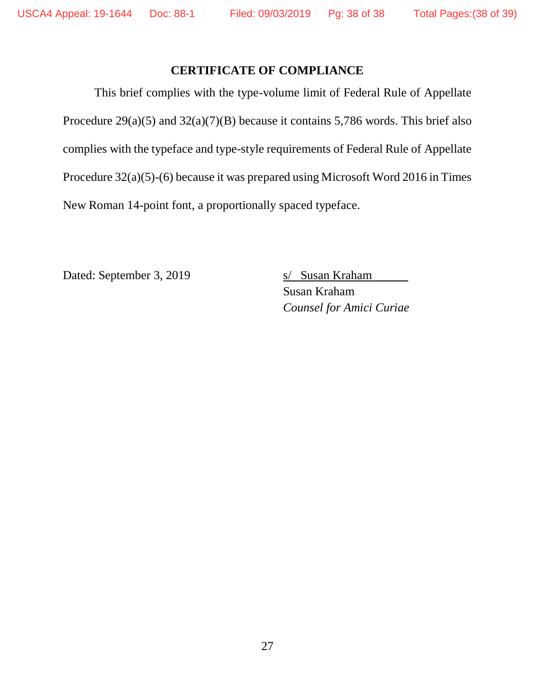#### **CERTIFICATE OF COMPLIANCE**

This brief complies with the type-volume limit of Federal Rule of Appellate Procedure 29(a)(5) and 32(a)(7)(B) because it contains 5,786 words. This brief also complies with the typeface and type-style requirements of Federal Rule of Appellate Procedure 32(a)(5)-(6) because it was prepared using Microsoft Word 2016 in Times New Roman 14-point font, a proportionally spaced typeface.

Dated: September 3, 2019 s/ Susan Kraham

Susan Kraham *Counsel for Amici Curiae*